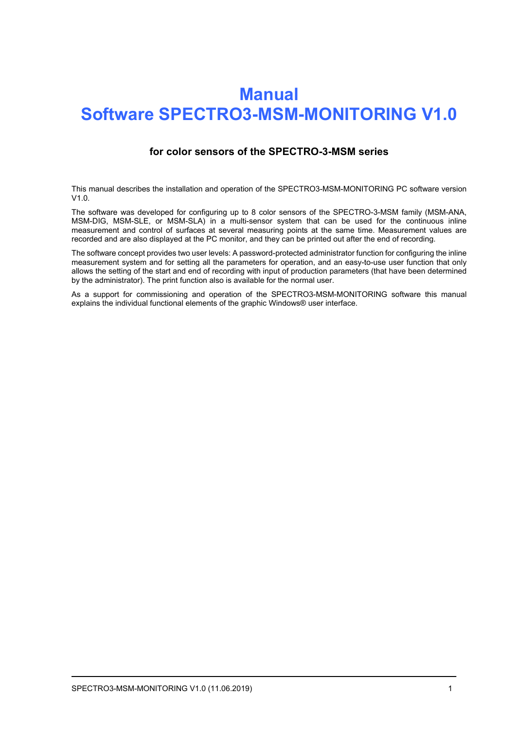# **Manual Software SPECTRO3-MSM-MONITORING V1.0**

### **for color sensors of the SPECTRO-3-MSM series**

This manual describes the installation and operation of the SPECTRO3-MSM-MONITORING PC software version  $V1.0$ 

The software was developed for configuring up to 8 color sensors of the SPECTRO-3-MSM family (MSM-ANA, MSM-DIG, MSM-SLE, or MSM-SLA) in a multi-sensor system that can be used for the continuous inline measurement and control of surfaces at several measuring points at the same time. Measurement values are recorded and are also displayed at the PC monitor, and they can be printed out after the end of recording.

The software concept provides two user levels: A password-protected administrator function for configuring the inline measurement system and for setting all the parameters for operation, and an easy-to-use user function that only allows the setting of the start and end of recording with input of production parameters (that have been determined by the administrator). The print function also is available for the normal user.

As a support for commissioning and operation of the SPECTRO3-MSM-MONITORING software this manual explains the individual functional elements of the graphic Windows® user interface.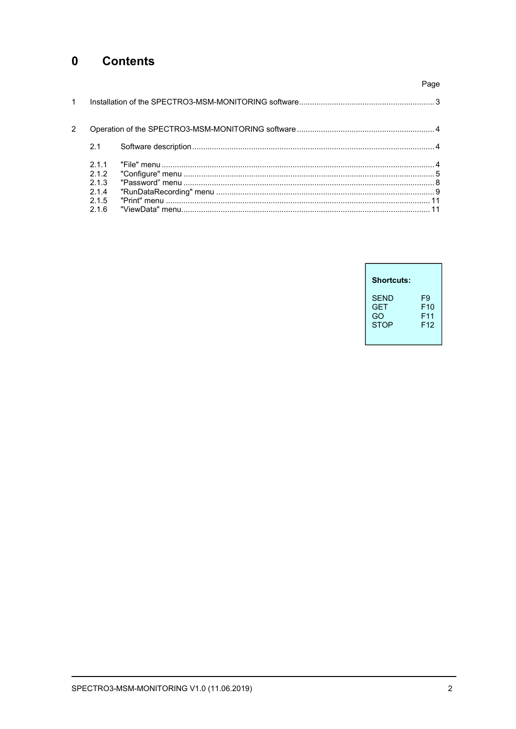#### $\mathbf 0$ **Contents**

|                |                     | Page |
|----------------|---------------------|------|
| $\overline{1}$ |                     |      |
| 2              |                     |      |
|                | 2.1                 |      |
|                | 211<br>2.1.2<br>213 |      |
|                | 214<br>215<br>216   |      |

| Shortcuts:  |                 |
|-------------|-----------------|
| <b>SFND</b> | F9              |
| <b>GFT</b>  | F10             |
| GO          | F11             |
| <b>STOP</b> | F <sub>12</sub> |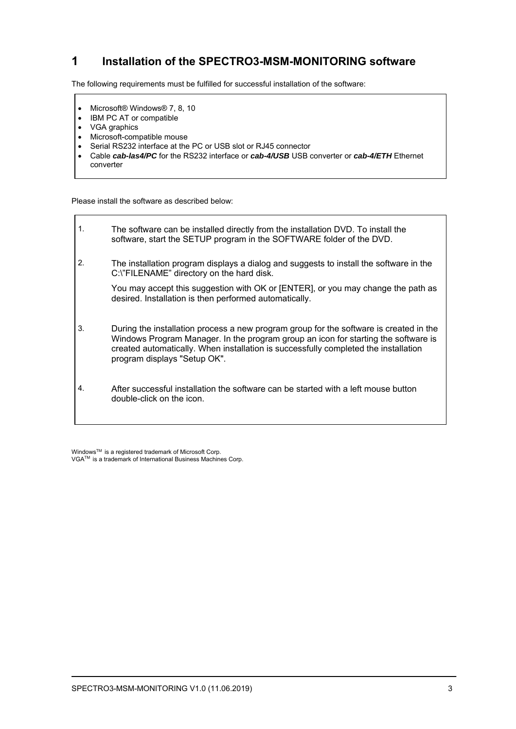# **1 Installation of the SPECTRO3-MSM-MONITORING software**

The following requirements must be fulfilled for successful installation of the software:

- Microsoft® Windows® 7, 8, 10
- IBM PC AT or compatible
- VGA graphics
- Microsoft-compatible mouse
- Serial RS232 interface at the PC or USB slot or RJ45 connector
- Cable *cab-las4/PC* for the RS232 interface or *cab-4/USB* USB converter or *cab-4/ETH* Ethernet converter

Please install the software as described below:

1. The software can be installed directly from the installation DVD. To install the software, start the SETUP program in the SOFTWARE folder of the DVD. 2. The installation program displays a dialog and suggests to install the software in the C:\"FILENAME" directory on the hard disk. You may accept this suggestion with OK or [ENTER], or you may change the path as desired. Installation is then performed automatically. 3. During the installation process a new program group for the software is created in the Windows Program Manager. In the program group an icon for starting the software is created automatically. When installation is successfully completed the installation program displays "Setup OK". 4. After successful installation the software can be started with a left mouse button double-click on the icon.

WindowsTM is a registered trademark of Microsoft Corp. VGATM is a trademark of International Business Machines Corp.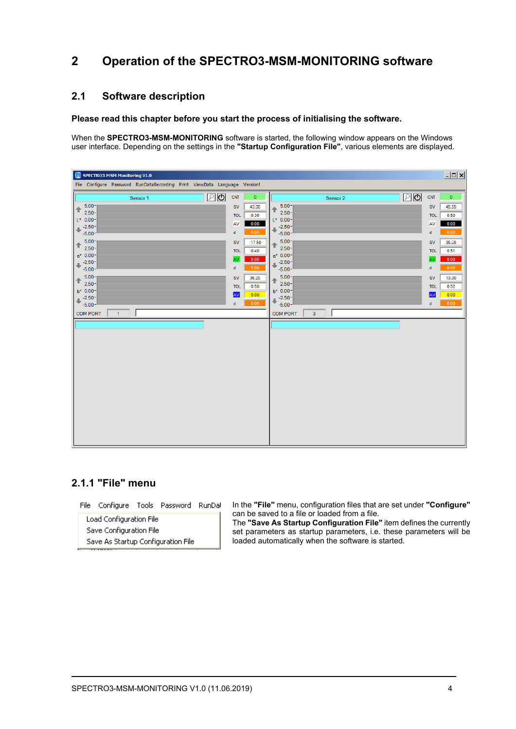# **2 Operation of the SPECTRO3-MSM-MONITORING software**

### **2.1 Software description**

#### **Please read this chapter before you start the process of initialising the software.**

When the **SPECTRO3-MSM-MONITORING** software is started, the following window appears on the Windows user interface. Depending on the settings in the **"Startup Configuration File"**, various elements are displayed.

| SPECTRO3 MSM Monitoring V1.0                                              |              |                                   |             | $\Box$       |
|---------------------------------------------------------------------------|--------------|-----------------------------------|-------------|--------------|
| File Configure Password RunDataRecording Print ViewData Language Version! |              |                                   |             |              |
| $\sqrt{2}$<br>CNT<br>Sensor 1                                             | $\bullet$    | உடு<br>Sensor 2                   | <b>CNT</b>  | $\bullet$    |
| $5.00 -$<br>SV<br>全<br>$2.50 -$                                           | 43.00        | $5.00 -$<br>↟<br>$2.50 -$         | ${\sf SV}$  | 45.55        |
| <b>TOL</b><br>$L^*$ 0.00-                                                 | 0.30         | $L^*$ 0.00-                       | <b>TOL</b>  | 0.50         |
| AV<br>$+2.50-$<br>$\mathsf{d}$                                            | 0.00<br>0.00 | $+2.50-$                          | AV<br>d     | 0.00<br>0.00 |
| $-5.00 -$<br>$5.00 -$<br><b>SV</b>                                        | $-17.50$     | $-5.00 -$<br>$5.00 -$             | <b>SV</b>   | 35.28        |
| $\uparrow$ 2.50-<br><b>TOL</b>                                            | 0.40         | ↟<br>$2.50 -$                     | <b>TOL</b>  | 0.51         |
| $a* 0.00 -$<br>AV<br>$+2.50-$                                             | 0.00         | $a^*$ 0.00-<br>$-2.50-$           | AV          | 0.00         |
| $\mathsf d$<br>$-5.00 -$                                                  | 0.00         | ٠<br>$-5.00 -$                    | d           | 0.00         |
| $+ 5.00$<br><b>SV</b>                                                     | 36.20        | $5.00 -$<br>个                     | SV          | 13.30        |
| $2.50 -$<br><b>TOL</b><br>$b* 0.00 -$                                     | 0.50         | $2.50 -$<br>$b* 0.00 -$           | <b>TOL</b>  | 0.52         |
| <b>AV</b><br>$-2.50 -$                                                    | 0.00         | $-2.50-$                          | AV          | 0.00         |
| d<br>$-5.00 -$<br>$\mathbf{1}$                                            | 0.00         | $-5.00 -$                         | $\mathbf d$ | 0.00         |
| <b>COM PORT</b>                                                           |              | <b>COM PORT</b><br>$\overline{3}$ |             |              |
|                                                                           |              |                                   |             |              |
|                                                                           |              |                                   |             |              |
|                                                                           |              |                                   |             |              |
|                                                                           |              |                                   |             |              |
|                                                                           |              |                                   |             |              |
|                                                                           |              |                                   |             |              |
|                                                                           |              |                                   |             |              |
|                                                                           |              |                                   |             |              |
|                                                                           |              |                                   |             |              |
|                                                                           |              |                                   |             |              |
|                                                                           |              |                                   |             |              |
|                                                                           |              |                                   |             |              |
|                                                                           |              |                                   |             |              |

## **2.1.1 "File" menu**

File Configure Tools Password RunDal

Load Configuration File Save Configuration File Save As Startup Configuration File In the **"File"** menu, configuration files that are set under **"Configure"** can be saved to a file or loaded from a file.

The **"Save As Startup Configuration File"** item defines the currently set parameters as startup parameters, i.e. these parameters will be loaded automatically when the software is started.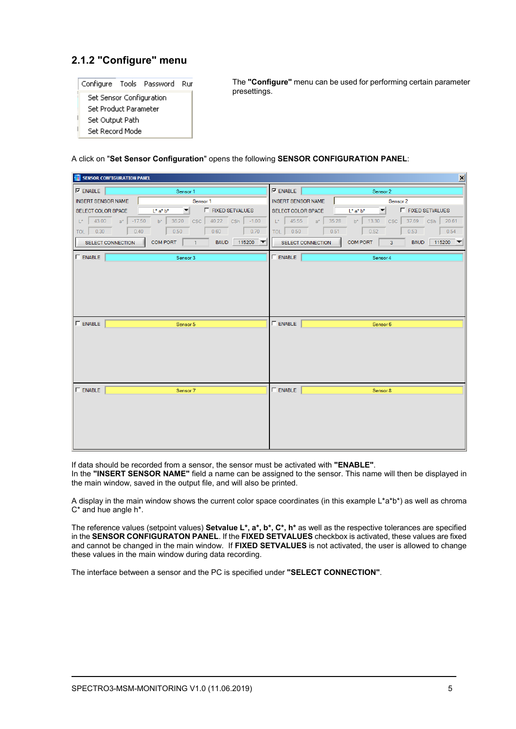# **2.1.2 "Configure" menu**

|                          |  | Configure Tools Password Ru |  |  |
|--------------------------|--|-----------------------------|--|--|
| Set Sensor Configuration |  |                             |  |  |
| Set Product Parameter    |  |                             |  |  |
| Set Output Path          |  |                             |  |  |
| Set Record Mode          |  |                             |  |  |

The **"Configure"** menu can be used for performing certain parameter presettings.

A click on "**Set Sensor Configuration**" opens the following **SENSOR CONFIGURATION PANEL**:

| $\vert x \vert$<br>SENSOR CONFIGURATION PANEL                                  |                                                                                               |  |  |  |  |
|--------------------------------------------------------------------------------|-----------------------------------------------------------------------------------------------|--|--|--|--|
| $\nabla$ ENABLE                                                                | $\nabla$ ENABLE                                                                               |  |  |  |  |
| Sensor 1                                                                       | Sensor 2                                                                                      |  |  |  |  |
| <b>INSERT SENSOR NAME</b>                                                      | <b>INSERT SENSOR NAME</b>                                                                     |  |  |  |  |
| Sensor 1                                                                       | Sensor 2                                                                                      |  |  |  |  |
| <b>F</b> FIXED SETVALUES<br>SELECT COLOR SPACE<br>$L^*$ a <sup>*</sup> $b^*$   | ▾<br><b>F</b> FIXED SETVALUES<br>$L^*$ a* $b^*$<br>SELECT COLOR SPACE                         |  |  |  |  |
| $ 43.00 \t a^* $ -17.50                                                        | 45.55                                                                                         |  |  |  |  |
| 36.20                                                                          | 35.28                                                                                         |  |  |  |  |
| CSC 40.22 CSh                                                                  | 13.30 CSC 37.69 CSh 20.61                                                                     |  |  |  |  |
| $L^{\star}$                                                                    | $b^*$                                                                                         |  |  |  |  |
| $b^*$                                                                          | $\mathbb{L}^{\star}$                                                                          |  |  |  |  |
| $-1.00$                                                                        | $a^*$                                                                                         |  |  |  |  |
| 0.40                                                                           | 0.52                                                                                          |  |  |  |  |
| 0.60                                                                           | 0.54                                                                                          |  |  |  |  |
| TOL 0.30                                                                       | TOL 0.50                                                                                      |  |  |  |  |
| 0.50                                                                           | 0.51                                                                                          |  |  |  |  |
| 0.70                                                                           | 0.53                                                                                          |  |  |  |  |
| BAUD 115200 ▼<br><b>COM PORT</b><br><b>SELECT CONNECTION</b><br>$\overline{1}$ | $115200$ $\blacktriangledown$<br><b>COM PORT</b><br>$3 -$<br><b>BAUD</b><br>SELECT CONNECTION |  |  |  |  |
| $\Gamma$ ENABLE                                                                | $\Gamma$ ENABLE                                                                               |  |  |  |  |
| Sensor 3                                                                       | Sensor 4                                                                                      |  |  |  |  |
|                                                                                |                                                                                               |  |  |  |  |
| $\Gamma$ ENABLE                                                                | $\Gamma$ ENABLE                                                                               |  |  |  |  |
| Sensor 5                                                                       | Sensor 6                                                                                      |  |  |  |  |
| $\Gamma$ ENABLE                                                                | $\Gamma$ ENABLE                                                                               |  |  |  |  |
| Sensor 7                                                                       | Sensor 8                                                                                      |  |  |  |  |

If data should be recorded from a sensor, the sensor must be activated with **"ENABLE"**.

In the **"INSERT SENSOR NAME"** field a name can be assigned to the sensor. This name will then be displayed in the main window, saved in the output file, and will also be printed.

A display in the main window shows the current color space coordinates (in this example L\*a\*b\*) as well as chroma C\* and hue angle h\*.

The reference values (setpoint values) **Setvalue L\*, a\*, b\*, C\*, h\*** as well as the respective tolerances are specified in the **SENSOR CONFIGURATON PANEL**. If the **FIXED SETVALUES** checkbox is activated, these values are fixed and cannot be changed in the main window. If **FIXED SETVALUES** is not activated, the user is allowed to change these values in the main window during data recording.

The interface between a sensor and the PC is specified under **"SELECT CONNECTION"**.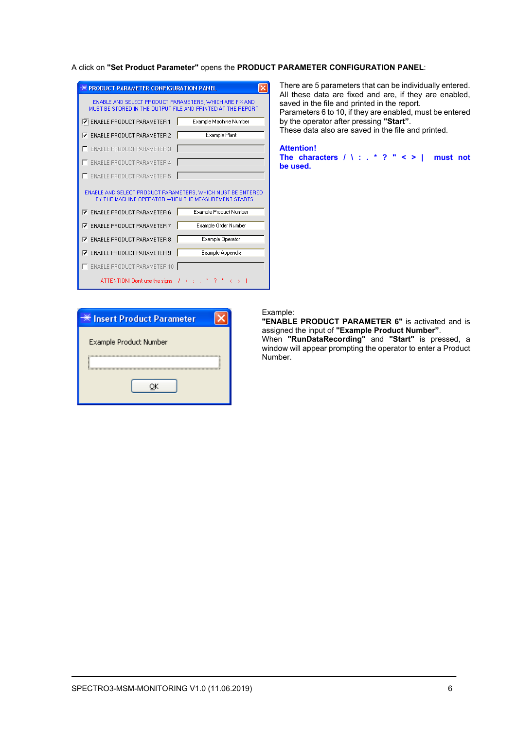#### A click on **"Set Product Parameter"** opens the **PRODUCT PARAMETER CONFIGURATION PANEL**:

| PRODUCT PARAMETER CONFIGURATION PANEL                                                                                  |                        |  |  |
|------------------------------------------------------------------------------------------------------------------------|------------------------|--|--|
| ENABLE AND SELECT PRODUCT PARAMETERS, WHICH ARE FIX AND<br>MUST BE STORED IN THE OUTPUT FILE AND PRINTED AT THE REPORT |                        |  |  |
| I⊽: ENABLE PRODUCT PARAMETER 1                                                                                         | Example Machine Number |  |  |
| <b>ENABLE PRODUCT PARAMETER 2</b><br>⊽                                                                                 | Example Plant          |  |  |
| <b>ENABLE PRODUCT PARAMETER 3</b>                                                                                      |                        |  |  |
| <b>ENABLE PRODUCT PARAMETER 4</b>                                                                                      |                        |  |  |
| <b>ENABLE PRODUCT PARAMETER 5</b>                                                                                      |                        |  |  |
|                                                                                                                        |                        |  |  |
| ENABLE AND SELECT PRODUCT PARAMETERS, WHICH MUST BE ENTERED<br>BY THE MACHINE OPERATOR WHEN THE MEASUREMENT STARTS     |                        |  |  |
| <b>V</b> ENABLE PRODUCT PARAMETER 6                                                                                    | Example Product Number |  |  |
| <b>ENABLE PRODUCT PARAMETER 7</b><br>⊽                                                                                 | Example Order Number   |  |  |
| <b>ENABLE PRODUCT PARAMETER 8</b><br>⊽                                                                                 | Example Operator       |  |  |
| <b>ENABLE PRODUCT PARAMETER 9</b><br>⊽                                                                                 | Example Appendix       |  |  |
| ENABLE PRODUCT PARAMETER 10                                                                                            |                        |  |  |

There are 5 parameters that can be individually entered. All these data are fixed and are, if they are enabled, saved in the file and printed in the report. Parameters 6 to 10, if they are enabled, must be entered by the operator after pressing **"Start"**. These data also are saved in the file and printed.

**Attention! The characters / \ : . \* ? " < > | must not be used.**

| ※ Insert Product Parameter |
|----------------------------|
| Example Product Number     |
|                            |
|                            |
|                            |
|                            |

#### Example:

**"ENABLE PRODUCT PARAMETER 6"** is activated and is assigned the input of **"Example Product Number"**. When **"RunDataRecording"** and **"Start"** is pressed, a window will appear prompting the operator to enter a Product Number.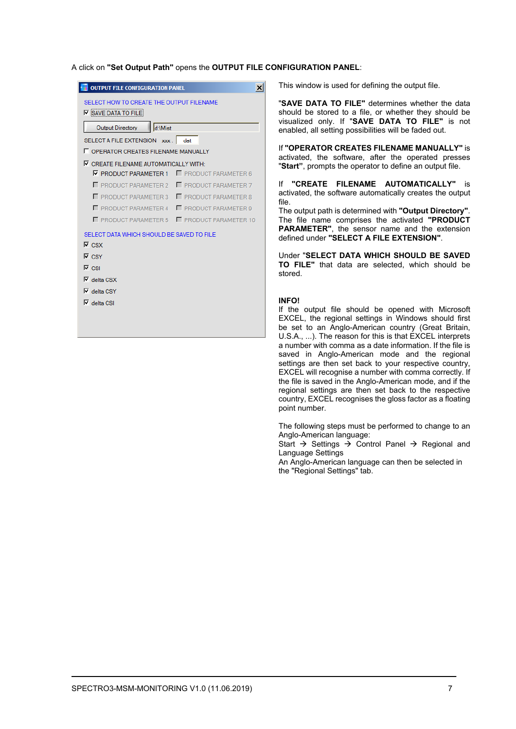#### A click on **"Set Output Path"** opens the **OUTPUT FILE CONFIGURATION PANEL**:

 $\vert x \vert$ 

| <b>OUTPUT FILE CONFIGURATION PANEL</b>                                 |                              |  |  |  |  |
|------------------------------------------------------------------------|------------------------------|--|--|--|--|
| SELECT HOW TO CREATE THE OUTPUT FILENAME<br>$\nabla$ SAVE DATA TO FILE |                              |  |  |  |  |
| d:\Mist<br><b>Output Directory</b>                                     |                              |  |  |  |  |
| SELECT A FILE EXTENSION xxx.                                           | dat                          |  |  |  |  |
| <b>F</b> OPERATOR CREATES FILENAME MANUALLY                            |                              |  |  |  |  |
| $\nabla$ CREATE FILENAME AUTOMATICALLY WITH:                           |                              |  |  |  |  |
| $\nabla$ PRODUCT PARAMETER 1                                           | <b>F</b> PRODUCT PARAMETER 6 |  |  |  |  |
| <b>F</b> PRODUCT PARAMETER 2                                           | <b>F</b> PRODUCT PARAMETER 7 |  |  |  |  |
| <b>F</b> PRODUCT PARAMETER 3                                           | PRODUCT PARAMETER 8          |  |  |  |  |
| <b>F</b> PRODUCT PARAMETER 4                                           | <b>F</b> PRODUCT PARAMETER 9 |  |  |  |  |
| <b>F</b> PRODUCT PARAMETER 5                                           | <b>F</b> PRODUCT PARAMETER   |  |  |  |  |
| SELECT DATA WHICH SHOULD BE SAVED TO FILE                              |                              |  |  |  |  |
| $\nabla$ csx                                                           |                              |  |  |  |  |
| $\nabla$ CSY                                                           |                              |  |  |  |  |
| $\nabla$ CSI                                                           |                              |  |  |  |  |
| $\nabla$ delta CSX                                                     |                              |  |  |  |  |
| $\nabla$ delta CSY                                                     |                              |  |  |  |  |
| $\nabla$ delta CSI                                                     |                              |  |  |  |  |
|                                                                        |                              |  |  |  |  |
|                                                                        |                              |  |  |  |  |
|                                                                        |                              |  |  |  |  |

This window is used for defining the output file.

"**SAVE DATA TO FILE"** determines whether the data should be stored to a file, or whether they should be visualized only. If "**SAVE DATA TO FILE"** is not enabled, all setting possibilities will be faded out.

If **"OPERATOR CREATES FILENAME MANUALLY"** is activated, the software, after the operated presses "**Start"**, prompts the operator to define an output file.

If **"CREATE FILENAME AUTOMATICALLY"** is activated, the software automatically creates the output file.

The output path is determined with **"Output Directory"**. The file name comprises the activated **"PRODUCT PARAMETER"**, the sensor name and the extension defined under **"SELECT A FILE EXTENSION"**.

Under "**SELECT DATA WHICH SHOULD BE SAVED TO FILE"** that data are selected, which should be stored.

#### **INFO!**

If the output file should be opened with Microsoft EXCEL, the regional settings in Windows should first be set to an Anglo-American country (Great Britain, U.S.A., ...). The reason for this is that EXCEL interprets a number with comma as a date information. If the file is saved in Anglo-American mode and the regional settings are then set back to your respective country, EXCEL will recognise a number with comma correctly. If the file is saved in the Anglo-American mode, and if the regional settings are then set back to the respective country, EXCEL recognises the gloss factor as a floating point number.

The following steps must be performed to change to an Anglo-American language:

Start  $\rightarrow$  Settings  $\rightarrow$  Control Panel  $\rightarrow$  Regional and Language Settings

An Anglo-American language can then be selected in the "Regional Settings" tab.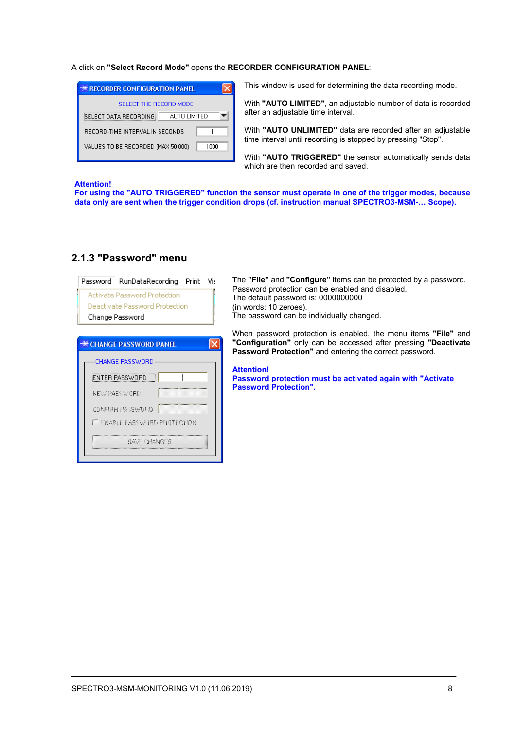#### A click on **"Select Record Mode"** opens the **RECORDER CONFIGURATION PANEL**:

| <b>** RECORDER CONFIGURATION PANEL</b>        |
|-----------------------------------------------|
| SELECT THE BECOBD MODE                        |
| <b>SELECT DATA RECORDING</b><br>ALITO LIMITED |
| RECORD-TIME INTERVAL IN SECONDS               |
| VALUES TO BE RECORDED (MAX 50 000)<br>1000    |

This window is used for determining the data recording mode.

With **"AUTO LIMITED"**, an adjustable number of data is recorded after an adjustable time interval.

With **"AUTO UNLIMITED"** data are recorded after an adjustable time interval until recording is stopped by pressing "Stop".

With **"AUTO TRIGGERED"** the sensor automatically sends data which are then recorded and saved.

#### **Attention!**

**For using the "AUTO TRIGGERED" function the sensor must operate in one of the trigger modes, because data only are sent when the trigger condition drops (cf. instruction manual SPECTRO3-MSM-… Scope).**

| Password | RunDataRecording                     | Print | Vir |
|----------|--------------------------------------|-------|-----|
|          | Activate Password Protection         |       |     |
|          | Deactivate Password Protection       |       |     |
|          | Change Password                      |       |     |
|          |                                      |       |     |
|          | <b>EXECUTANGE PASSWORD PANEL</b>     |       |     |
|          | <b>CHANGE PASSWORD</b>               |       |     |
|          | ENTER PASSWORD                       |       |     |
|          | NEW PASSWORD                         |       |     |
|          | CONFIRM PASSWORD                     |       |     |
|          | <b>IT ENABLE PASSWORD PROTECTION</b> |       |     |
|          | SAVE CHONGES                         |       |     |
|          |                                      |       |     |

## **2.1.3 "Password" menu**

The **"File"** and **"Configure"** items can be protected by a password. Password protection can be enabled and disabled. The default password is: 0000000000 (in words: 10 zeroes). The password can be individually changed.

When password protection is enabled, the menu items **"File"** and **"Configuration"** only can be accessed after pressing **"Deactivate Password Protection"** and entering the correct password.

**Attention!** 

**Password protection must be activated again with "Activate Password Protection".**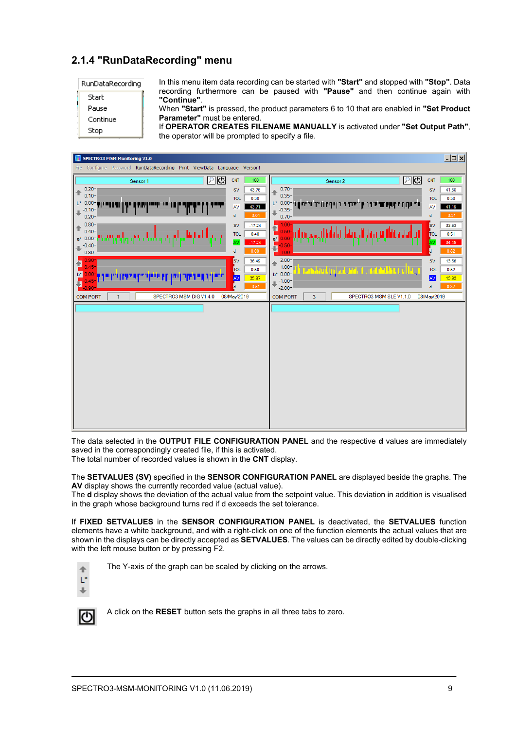# **2.1.4 "RunDataRecording" menu**

| RunDataRecording |  |
|------------------|--|
|                  |  |

Start Parice Continue

Stop

In this menu item data recording can be started with **"Start"** and stopped with **"Stop"**. Data recording furthermore can be paused with **"Pause"** and then continue again with **"Continue"**.

When **"Start"** is pressed, the product parameters 6 to 10 that are enabled in **"Set Product Parameter"** must be entered.

If **OPERATOR CREATES FILENAME MANUALLY** is activated under **"Set Output Path"**, the operator will be prompted to specify a file.



The data selected in the **OUTPUT FILE CONFIGURATION PANEL** and the respective **d** values are immediately saved in the correspondingly created file, if this is activated.

The total number of recorded values is shown in the **CNT** display.

The **SETVALUES (SV)** specified in the **SENSOR CONFIGURATION PANEL** are displayed beside the graphs. The **AV** display shows the currently recorded value (actual value).

The **d** display shows the deviation of the actual value from the setpoint value. This deviation in addition is visualised in the graph whose background turns red if d exceeds the set tolerance.

If **FIXED SETVALUES** in the **SENSOR CONFIGURATION PANEL** is deactivated, the **SETVALUES** function elements have a white background, and with a right-click on one of the function elements the actual values that are shown in the displays can be directly accepted as **SETVALUES**. The values can be directly edited by double-clicking with the left mouse button or by pressing F2.



The Y-axis of the graph can be scaled by clicking on the arrows.

の

A click on the **RESET** button sets the graphs in all three tabs to zero.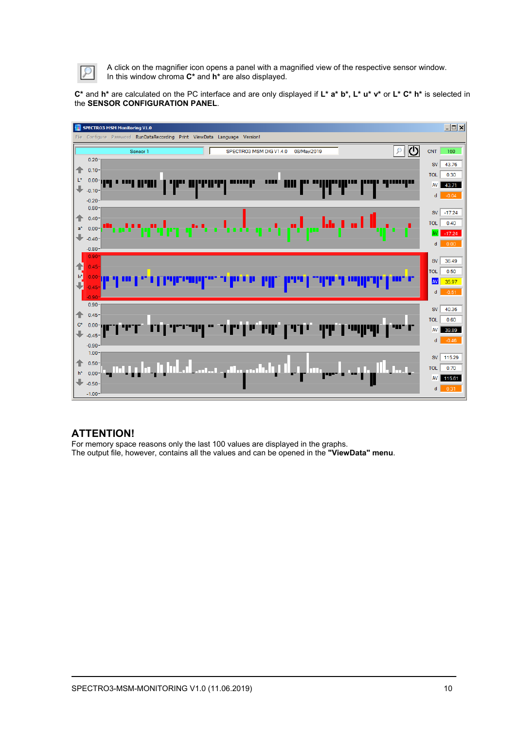

A click on the magnifier icon opens a panel with a magnified view of the respective sensor window. In this window chroma **C\*** and **h\*** are also displayed.

**C\*** and **h\*** are calculated on the PC interface and are only displayed if **L\* a\* b\*, L\* u\* v\*** or **L\* C\* h\*** is selected in the **SENSOR CONFIGURATION PANEL**.



### **ATTENTION!**

For memory space reasons only the last 100 values are displayed in the graphs. The output file, however, contains all the values and can be opened in the **"ViewData" menu**.